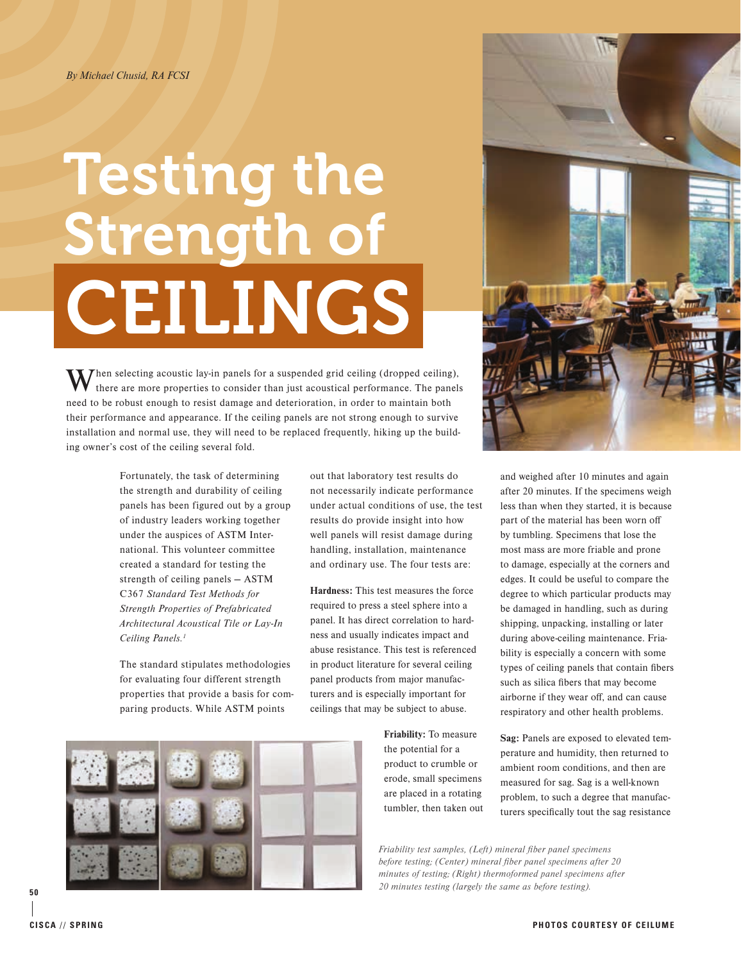### *By Michael Chusid, RA FCSI*

# **CEILINGS** Testing the Strength of

Then selecting acoustic lay-in panels for a suspended grid ceiling (dropped ceiling), there are more properties to consider than just acoustical performance. The panels need to be robust enough to resist damage and deterioration, in order to maintain both their performance and appearance. If the ceiling panels are not strong enough to survive installation and normal use, they will need to be replaced frequently, hiking up the building owner's cost of the ceiling several fold.

> Fortunately, the task of determining the strength and durability of ceiling panels has been figured out by a group of industry leaders working together under the auspices of ASTM International. This volunteer committee created a standard for testing the strength of ceiling panels — ASTM C367 *Standard Test Methods for Strength Properties of Prefabricated Architectural Acoustical Tile or Lay-In Ceiling Panels.1*

The standard stipulates methodologies for evaluating four different strength properties that provide a basis for comparing products. While ASTM points

out that laboratory test results do not necessarily indicate performance under actual conditions of use, the test results do provide insight into how well panels will resist damage during handling, installation, maintenance and ordinary use. The four tests are:

Hardness: This test measures the force required to press a steel sphere into a panel. It has direct correlation to hardness and usually indicates impact and abuse resistance. This test is referenced in product literature for several ceiling panel products from major manufacturers and is especially important for ceilings that may be subject to abuse.

> Friability: To measure the potential for a product to crumble or erode, small specimens are placed in a rotating tumbler, then taken out



and weighed after 10 minutes and again after 20 minutes. If the specimens weigh less than when they started, it is because part of the material has been worn off by tumbling. Specimens that lose the most mass are more friable and prone to damage, especially at the corners and edges. It could be useful to compare the degree to which particular products may be damaged in handling, such as during shipping, unpacking, installing or later during above-ceiling maintenance. Friability is especially a concern with some types of ceiling panels that contain fibers such as silica fibers that may become airborne if they wear off, and can cause respiratory and other health problems.

Sag: Panels are exposed to elevated temperature and humidity, then returned to ambient room conditions, and then are measured for sag. Sag is a well-known problem, to such a degree that manufacturers specifically tout the sag resistance

*Friability test samples, (Left) mineral fiber panel specimens before testing; (Center) mineral fiber panel specimens after 20 minutes of testing; (Right) thermoformed panel specimens after 20 minutes testing (largely the same as before testing).*

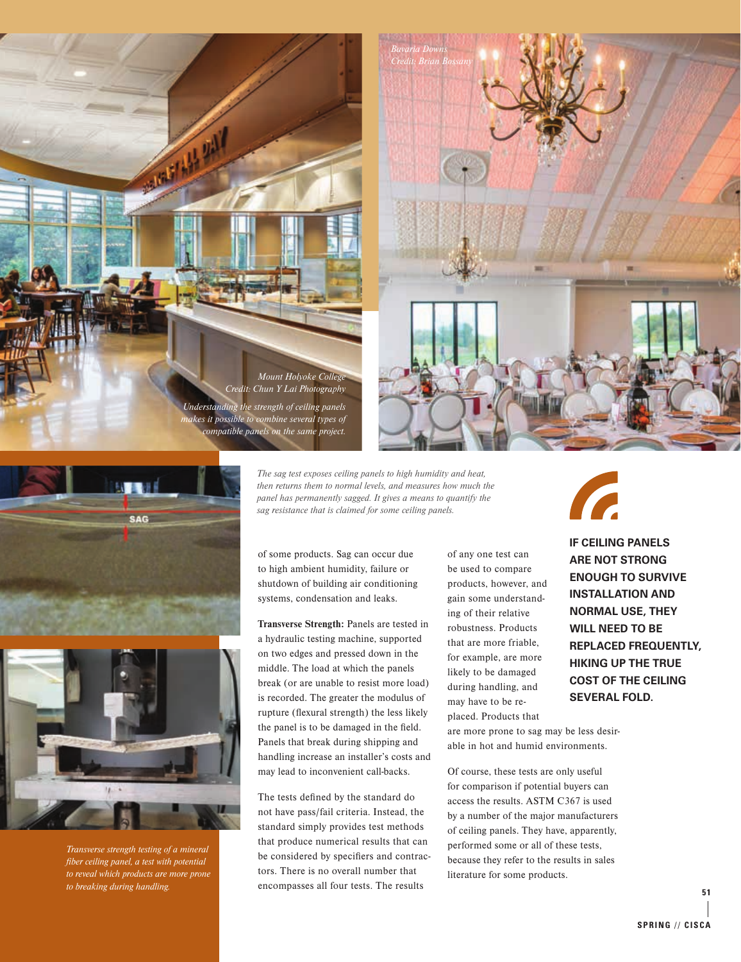*Credit: Chun Y Lai Photography Understanding the strength of ceiling panels makes it possible to combine several types of compatible panels on the same project.*

**ANTISTAL PALE** 

*Mount Holyoke College*







*Transverse strength testing of a mineral fiber ceiling panel, a test with potential to reveal which products are more prone to breaking during handling.*

*The sag test exposes ceiling panels to high humidity and heat, then returns them to normal levels, and measures how much the panel has permanently sagged. It gives a means to quantify the sag resistance that is claimed for some ceiling panels.*

of some products. Sag can occur due to high ambient humidity, failure or shutdown of building air conditioning systems, condensation and leaks.

Transverse Strength: Panels are tested in a hydraulic testing machine, supported on two edges and pressed down in the middle. The load at which the panels break (or are unable to resist more load) is recorded. The greater the modulus of rupture (flexural strength) the less likely the panel is to be damaged in the field. Panels that break during shipping and handling increase an installer's costs and may lead to inconvenient call-backs.

The tests defined by the standard do not have pass/fail criteria. Instead, the standard simply provides test methods that produce numerical results that can be considered by specifiers and contractors. There is no overall number that encompasses all four tests. The results

of any one test can be used to compare products, however, and gain some understanding of their relative robustness. Products that are more friable, for example, are more likely to be damaged during handling, and may have to be replaced. Products that



**IF CEILING PANELS ARE NOT STRONG ENOUGH TO SURVIVE INSTALLATION AND NORMAL USE, THEY WILL NEED TO BE REPLACED FREQUENTLY, HIKING UP THE TRUE COST OF THE CEILING SEVERAL FOLD.**

are more prone to sag may be less desirable in hot and humid environments.

Of course, these tests are only useful for comparison if potential buyers can access the results. ASTM C367 is used by a number of the major manufacturers of ceiling panels. They have, apparently, performed some or all of these tests, because they refer to the results in sales literature for some products.